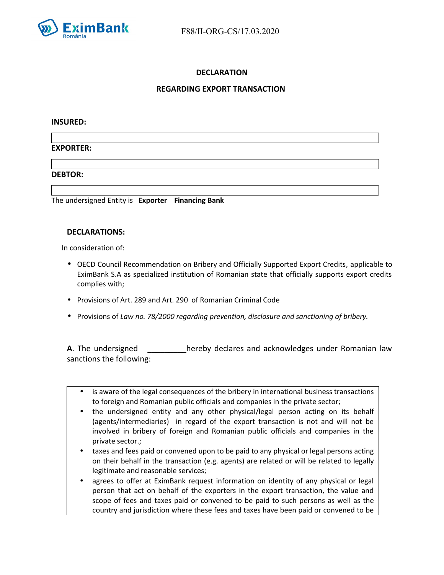

# **DECLARATION**

# **REGARDING EXPORT TRANSACTION**

### **INSURED:**

## **EXPORTER:**

## **DEBTOR:**

The undersigned Entity is **Exporter Financing Bank**

## **DECLARATIONS:**

In consideration of:

- OECD Council Recommendation on Bribery and Officially Supported Export Credits*,* applicable to EximBank S.A as specialized institution of Romanian state that officially supports export credits complies with;
- Provisions of Art. 289 and Art. 290 of Romanian Criminal Code
- Provisions of *Law no. 78/2000 regarding prevention, disclosure and sanctioning of bribery.*

**A**. The undersigned **the sum as a constant in the set of the constant law** hereby declares and acknowledges under Romanian law sanctions the following:

- is aware of the legal consequences of the bribery in international business transactions to foreign and Romanian public officials and companies in the private sector;
- the undersigned entity and any other physical/legal person acting on its behalf (agents/intermediaries) in regard of the export transaction is not and will not be involved in bribery of foreign and Romanian public officials and companies in the private sector.;
- taxes and fees paid or convened upon to be paid to any physical or legal persons acting on their behalf in the transaction (e.g. agents) are related or will be related to legally legitimate and reasonable services;
- agrees to offer at EximBank request information on identity of any physical or legal person that act on behalf of the exporters in the export transaction, the value and scope of fees and taxes paid or convened to be paid to such persons as well as the country and jurisdiction where these fees and taxes have been paid or convened to be